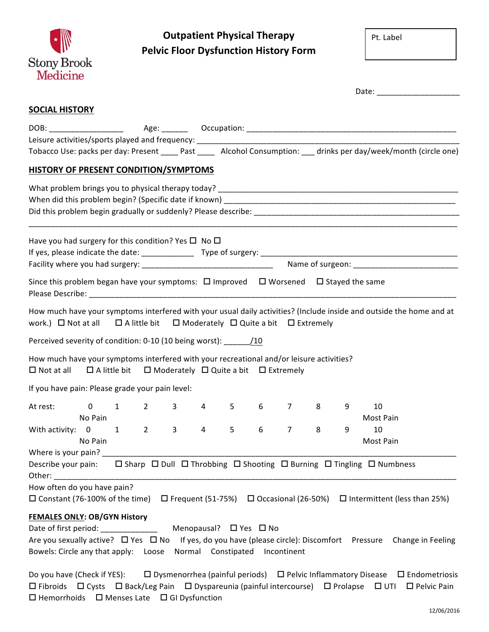

## **Outpatient Physical Therapy Pelvic Floor Dysfunction History Form**

Pt. Label

|                                                                                                                  |                                                                           |              |                |                |   |                 |   |   | Date: ________________________                                                                                        |
|------------------------------------------------------------------------------------------------------------------|---------------------------------------------------------------------------|--------------|----------------|----------------|---|-----------------|---|---|-----------------------------------------------------------------------------------------------------------------------|
| <b>SOCIAL HISTORY</b>                                                                                            |                                                                           |              |                |                |   |                 |   |   |                                                                                                                       |
|                                                                                                                  |                                                                           |              |                |                |   |                 |   |   |                                                                                                                       |
|                                                                                                                  |                                                                           |              |                |                |   |                 |   |   |                                                                                                                       |
|                                                                                                                  |                                                                           |              |                |                |   |                 |   |   | Tobacco Use: packs per day: Present _____ Past _____ Alcohol Consumption: ___ drinks per day/week/month (circle one)  |
| HISTORY OF PRESENT CONDITION/SYMPTOMS                                                                            |                                                                           |              |                |                |   |                 |   |   |                                                                                                                       |
|                                                                                                                  |                                                                           |              |                |                |   |                 |   |   |                                                                                                                       |
|                                                                                                                  |                                                                           |              |                |                |   |                 |   |   |                                                                                                                       |
|                                                                                                                  |                                                                           |              |                |                |   |                 |   |   |                                                                                                                       |
| Have you had surgery for this condition? Yes $\square$ No $\square$                                              |                                                                           |              |                |                |   |                 |   |   | <u> 1989 - Johann Harry Harry Harry Harry Harry Harry Harry Harry Harry Harry Harry Harry Harry Harry Harry Harry</u> |
|                                                                                                                  |                                                                           |              |                |                |   |                 |   |   |                                                                                                                       |
|                                                                                                                  |                                                                           |              |                |                |   |                 |   |   |                                                                                                                       |
| Since this problem began have your symptoms: $\Box$ Improved $\Box$ Worsened $\Box$ Stayed the same              |                                                                           |              |                |                |   |                 |   |   |                                                                                                                       |
| work.) $\Box$ Not at all $\Box$ A little bit $\Box$ Moderately $\Box$ Quite a bit $\Box$ Extremely               |                                                                           |              |                |                |   |                 |   |   | How much have your symptoms interfered with your usual daily activities? (Include inside and outside the home and at  |
| Perceived severity of condition: 0-10 (10 being worst): ______ /10                                               |                                                                           |              |                |                |   |                 |   |   |                                                                                                                       |
| How much have your symptoms interfered with your recreational and/or leisure activities?<br>$\square$ Not at all | $\Box$ A little bit $\Box$ Moderately $\Box$ Quite a bit $\Box$ Extremely |              |                |                |   |                 |   |   |                                                                                                                       |
| If you have pain: Please grade your pain level:                                                                  |                                                                           |              |                |                |   |                 |   |   |                                                                                                                       |
| At rest:                                                                                                         | $0 \qquad 1 \qquad 2 \qquad 3 \qquad 4 \qquad 5$                          |              |                |                |   | 6 7 8           |   | 9 | 10                                                                                                                    |
| No Pain                                                                                                          |                                                                           |              |                |                |   |                 |   |   | Most Pain                                                                                                             |
| With activity: 0 1                                                                                               | $\overline{2}$                                                            | $\mathbf{3}$ | $\overline{4}$ | $5\phantom{.}$ | 6 | $7\overline{ }$ | 8 | 9 | 10                                                                                                                    |
| in the No Pain                                                                                                   |                                                                           |              |                |                |   |                 |   |   | Most Pain                                                                                                             |
|                                                                                                                  |                                                                           |              |                |                |   |                 |   |   |                                                                                                                       |
| Other: and the state of the state of the state of the state of the state of the state of the state of the state  |                                                                           |              |                |                |   |                 |   |   |                                                                                                                       |
| How often do you have pain?                                                                                      |                                                                           |              |                |                |   |                 |   |   |                                                                                                                       |
|                                                                                                                  |                                                                           |              |                |                |   |                 |   |   | □ Constant (76-100% of the time) □ Frequent (51-75%) □ Occasional (26-50%) □ Intermittent (less than 25%)             |
| <b>FEMALES ONLY: OB/GYN History</b>                                                                              |                                                                           |              |                |                |   |                 |   |   |                                                                                                                       |
|                                                                                                                  |                                                                           |              |                |                |   |                 |   |   |                                                                                                                       |
|                                                                                                                  |                                                                           |              |                |                |   |                 |   |   | Are you sexually active? □ Yes □ No If yes, do you have (please circle): Discomfort Pressure Change in Feeling        |
| Bowels: Circle any that apply: Loose Normal Constipated                                                          |                                                                           |              |                |                |   | Incontinent     |   |   |                                                                                                                       |
| Do you have (Check if YES):                                                                                      |                                                                           |              |                |                |   |                 |   |   | $\Box$ Dysmenorrhea (painful periods) $\Box$ Pelvic Inflammatory Disease $\Box$ Endometriosis                         |

|  |                                                             | Do you have (Check if YES):         LI Dysmenorrhea (painful periods)     LI Pelvic Inflammatory Disease     LI Endometriosis            |  |  |
|--|-------------------------------------------------------------|------------------------------------------------------------------------------------------------------------------------------------------|--|--|
|  |                                                             | $\Box$ Fibroids $\Box$ Cysts $\Box$ Back/Leg Pain $\Box$ Dyspareunia (painful intercourse) $\Box$ Prolapse $\Box$ UTI $\Box$ Pelvic Pain |  |  |
|  | $\Box$ Hemorrhoids $\Box$ Menses Late $\Box$ GI Dysfunction |                                                                                                                                          |  |  |